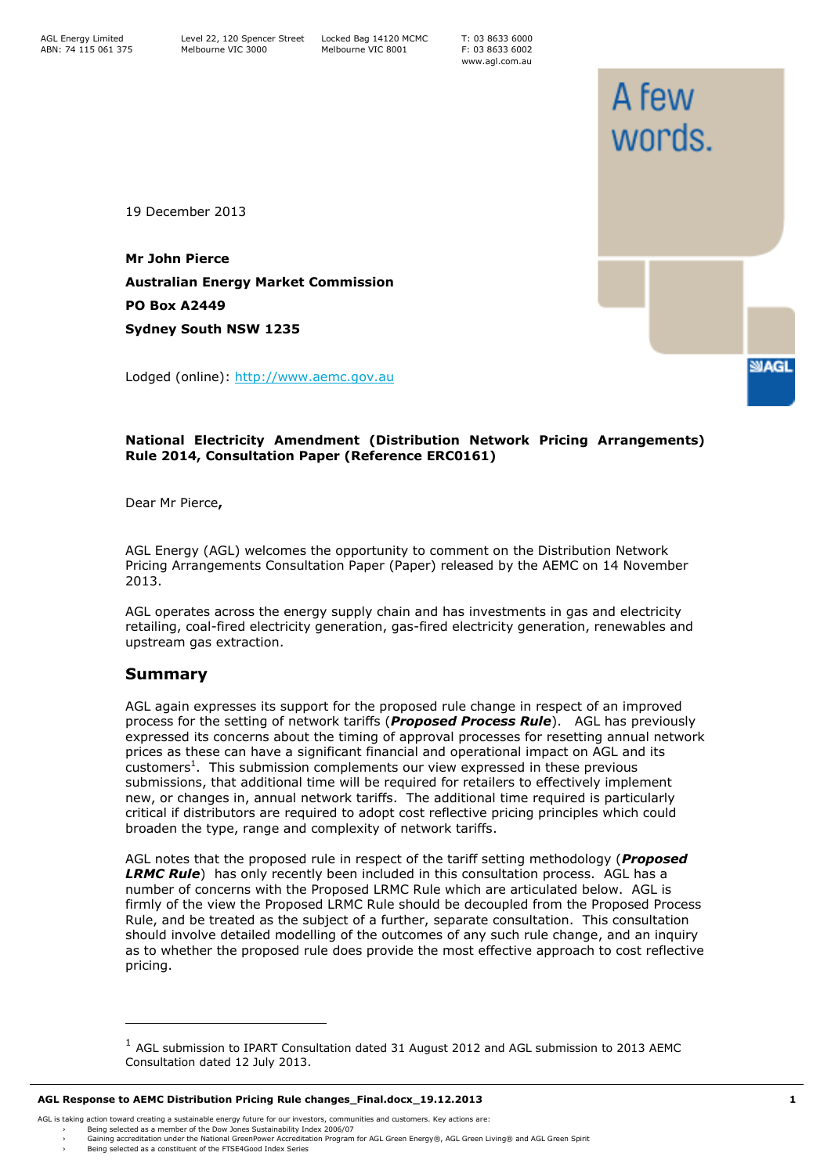T: 03 8633 6000 F: 03 8633 6002 www.agl.com.au

A few

words.

**SMAGL** 

19 December 2013

**Mr John Pierce Australian Energy Market Commission PO Box A2449 Sydney South NSW 1235**

Lodged (online): [http://www.aemc.gov.au](http://www.aemc.gov.au/)

## **National Electricity Amendment (Distribution Network Pricing Arrangements) Rule 2014, Consultation Paper (Reference ERC0161)**

Dear Mr Pierce**,**

AGL Energy (AGL) welcomes the opportunity to comment on the Distribution Network Pricing Arrangements Consultation Paper (Paper) released by the AEMC on 14 November 2013.

AGL operates across the energy supply chain and has investments in gas and electricity retailing, coal-fired electricity generation, gas-fired electricity generation, renewables and upstream gas extraction.

## **Summary**

AGL again expresses its support for the proposed rule change in respect of an improved process for the setting of network tariffs (*Proposed Process Rule*). AGL has previously expressed its concerns about the timing of approval processes for resetting annual network prices as these can have a significant financial and operational impact on AGL and its customers<sup>1</sup>. This submission complements our view expressed in these previous submissions, that additional time will be required for retailers to effectively implement new, or changes in, annual network tariffs. The additional time required is particularly critical if distributors are required to adopt cost reflective pricing principles which could broaden the type, range and complexity of network tariffs.

AGL notes that the proposed rule in respect of the tariff setting methodology (*Proposed LRMC Rule*) has only recently been included in this consultation process. AGL has a number of concerns with the Proposed LRMC Rule which are articulated below. AGL is firmly of the view the Proposed LRMC Rule should be decoupled from the Proposed Process Rule, and be treated as the subject of a further, separate consultation. This consultation should involve detailed modelling of the outcomes of any such rule change, and an inquiry as to whether the proposed rule does provide the most effective approach to cost reflective pricing.

ł

<sup>&</sup>lt;sup>1</sup> AGL submission to IPART Consultation dated 31 August 2012 and AGL submission to 2013 AEMC Consultation dated 12 July 2013.

AGL is taking action toward creating a sustainable energy future for our investors, communities and customers. Key actions are:

<sup>›</sup> Being selected as a member of the Dow Jones Sustainability Index 2006/07 › Gaining accreditation under the National GreenPower Accreditation Program for AGL Green Energy®, AGL Green Living® and AGL Green Spirit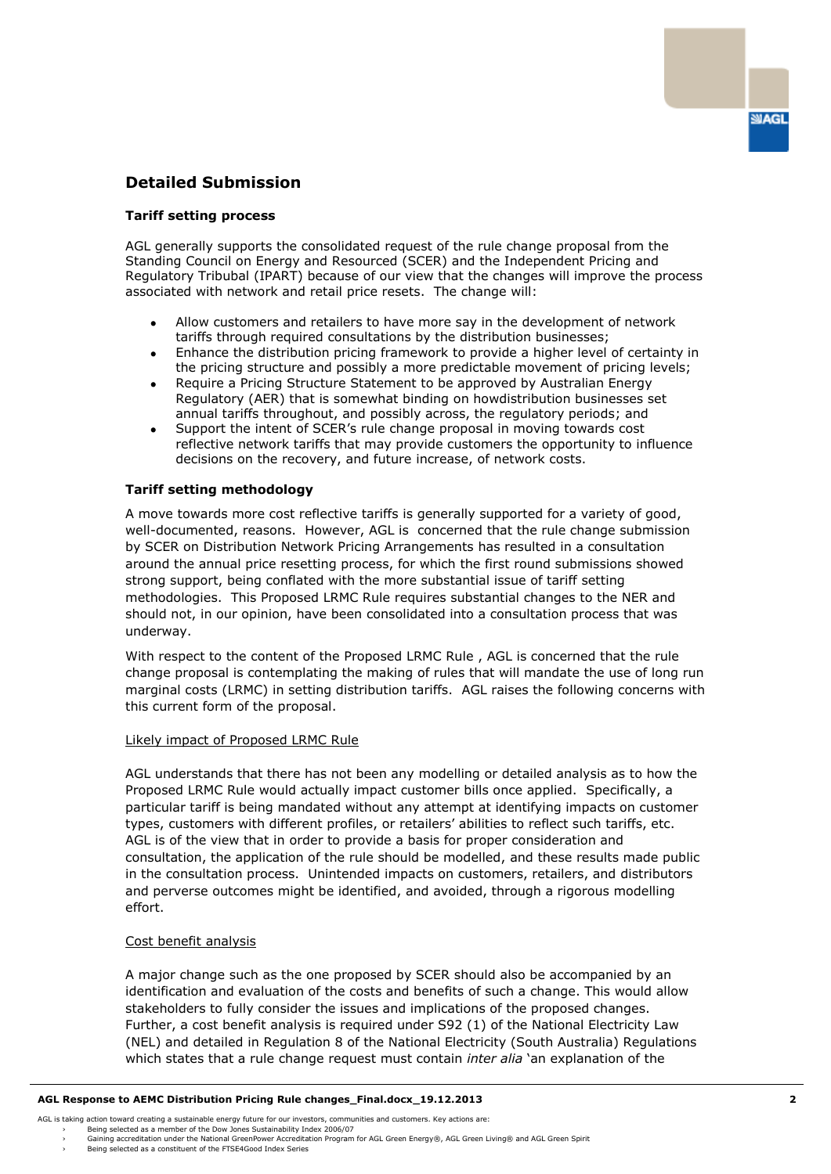# **Detailed Submission**

### **Tariff setting process**

AGL generally supports the consolidated request of the rule change proposal from the Standing Council on Energy and Resourced (SCER) and the Independent Pricing and Regulatory Tribubal (IPART) because of our view that the changes will improve the process associated with network and retail price resets. The change will:

- Allow customers and retailers to have more say in the development of network  $\bullet$ tariffs through required consultations by the distribution businesses;
- Enhance the distribution pricing framework to provide a higher level of certainty in  $\bullet$ the pricing structure and possibly a more predictable movement of pricing levels;
- Require a Pricing Structure Statement to be approved by Australian Energy Regulatory (AER) that is somewhat binding on howdistribution businesses set annual tariffs throughout, and possibly across, the regulatory periods; and
- Support the intent of SCER's rule change proposal in moving towards cost  $\bullet$ reflective network tariffs that may provide customers the opportunity to influence decisions on the recovery, and future increase, of network costs.

#### **Tariff setting methodology**

A move towards more cost reflective tariffs is generally supported for a variety of good, well-documented, reasons. However, AGL is concerned that the rule change submission by SCER on Distribution Network Pricing Arrangements has resulted in a consultation around the annual price resetting process, for which the first round submissions showed strong support, being conflated with the more substantial issue of tariff setting methodologies. This Proposed LRMC Rule requires substantial changes to the NER and should not, in our opinion, have been consolidated into a consultation process that was underway.

With respect to the content of the Proposed LRMC Rule , AGL is concerned that the rule change proposal is contemplating the making of rules that will mandate the use of long run marginal costs (LRMC) in setting distribution tariffs. AGL raises the following concerns with this current form of the proposal.

#### Likely impact of Proposed LRMC Rule

AGL understands that there has not been any modelling or detailed analysis as to how the Proposed LRMC Rule would actually impact customer bills once applied. Specifically, a particular tariff is being mandated without any attempt at identifying impacts on customer types, customers with different profiles, or retailers' abilities to reflect such tariffs, etc. AGL is of the view that in order to provide a basis for proper consideration and consultation, the application of the rule should be modelled, and these results made public in the consultation process. Unintended impacts on customers, retailers, and distributors and perverse outcomes might be identified, and avoided, through a rigorous modelling effort.

#### Cost benefit analysis

A major change such as the one proposed by SCER should also be accompanied by an identification and evaluation of the costs and benefits of such a change. This would allow stakeholders to fully consider the issues and implications of the proposed changes. Further, a cost benefit analysis is required under S92 (1) of the National Electricity Law (NEL) and detailed in Regulation 8 of the National Electricity (South Australia) Regulations which states that a rule change request must contain *inter alia* 'an explanation of the

AGL is taking action toward creating a sustainable energy future for our investors, communities and customers. Key actions are:

**SUAGL** 

<sup>›</sup> Being selected as a member of the Dow Jones Sustainability Index 2006/07<br>› Gaining accreditation under the National GreenPower Accreditation Program for AGL Green Energy®, AGL Green Iiving® and AGL Green